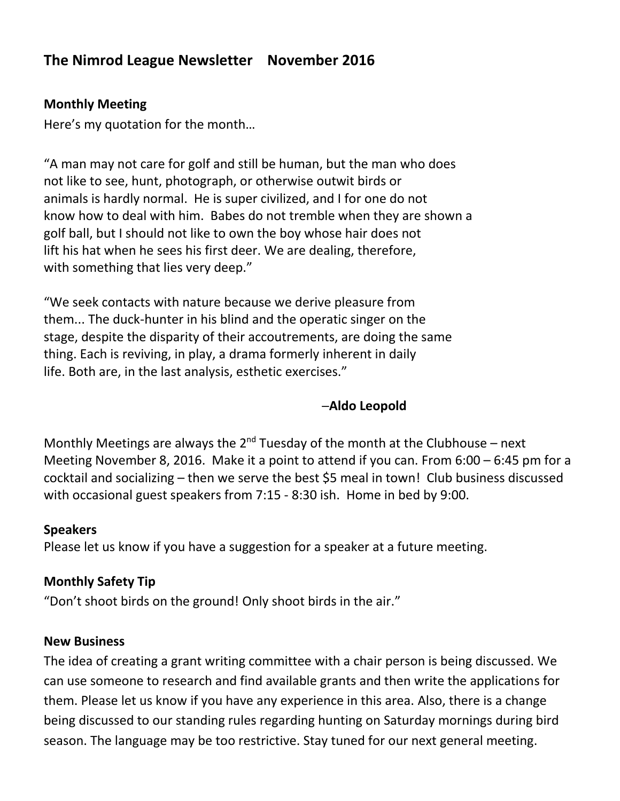# **The Nimrod League Newsletter November 2016**

# **Monthly Meeting**

Here's my quotation for the month…

"A man may not care for golf and still be human, but the man who does not like to see, hunt, photograph, or otherwise outwit birds or animals is hardly normal. He is super civilized, and I for one do not know how to deal with him. Babes do not tremble when they are shown a golf ball, but I should not like to own the boy whose hair does not lift his hat when he sees his first deer. We are dealing, therefore, with something that lies very deep."

"We seek contacts with nature because we derive pleasure from them... The duck-hunter in his blind and the operatic singer on the stage, despite the disparity of their accoutrements, are doing the same thing. Each is reviving, in play, a drama formerly inherent in daily life. Both are, in the last analysis, esthetic exercises."

# ─**Aldo Leopold**

Monthly Meetings are always the  $2^{nd}$  Tuesday of the month at the Clubhouse – next Meeting November 8, 2016. Make it a point to attend if you can. From 6:00 – 6:45 pm for a cocktail and socializing – then we serve the best \$5 meal in town! Club business discussed with occasional guest speakers from 7:15 - 8:30 ish. Home in bed by 9:00.

### **Speakers**

Please let us know if you have a suggestion for a speaker at a future meeting.

# **Monthly Safety Tip**

"Don't shoot birds on the ground! Only shoot birds in the air."

### **New Business**

The idea of creating a grant writing committee with a chair person is being discussed. We can use someone to research and find available grants and then write the applications for them. Please let us know if you have any experience in this area. Also, there is a change being discussed to our standing rules regarding hunting on Saturday mornings during bird season. The language may be too restrictive. Stay tuned for our next general meeting.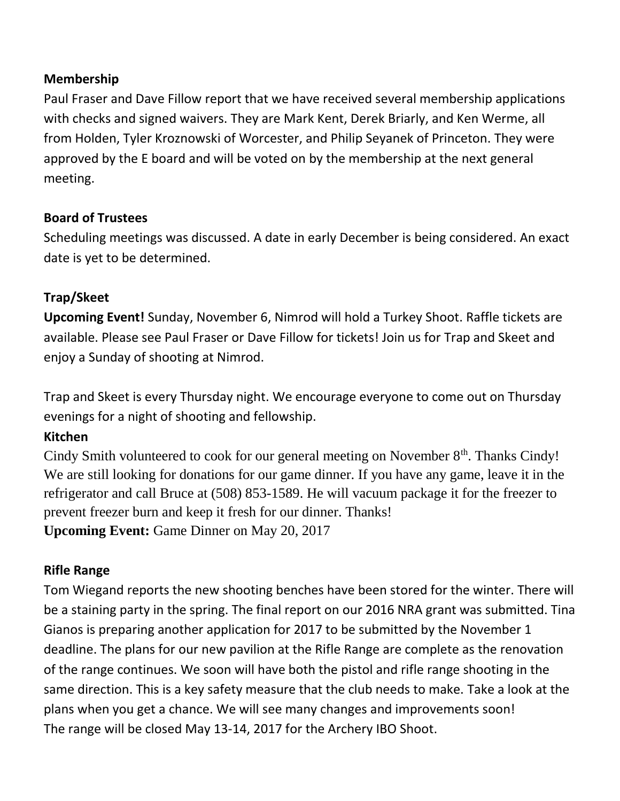# **Membership**

Paul Fraser and Dave Fillow report that we have received several membership applications with checks and signed waivers. They are Mark Kent, Derek Briarly, and Ken Werme, all from Holden, Tyler Kroznowski of Worcester, and Philip Seyanek of Princeton. They were approved by the E board and will be voted on by the membership at the next general meeting.

# **Board of Trustees**

Scheduling meetings was discussed. A date in early December is being considered. An exact date is yet to be determined.

# **Trap/Skeet**

**Upcoming Event!** Sunday, November 6, Nimrod will hold a Turkey Shoot. Raffle tickets are available. Please see Paul Fraser or Dave Fillow for tickets! Join us for Trap and Skeet and enjoy a Sunday of shooting at Nimrod.

Trap and Skeet is every Thursday night. We encourage everyone to come out on Thursday evenings for a night of shooting and fellowship.

### **Kitchen**

Cindy Smith volunteered to cook for our general meeting on November 8<sup>th</sup>. Thanks Cindy! We are still looking for donations for our game dinner. If you have any game, leave it in the refrigerator and call Bruce at (508) 853-1589. He will vacuum package it for the freezer to prevent freezer burn and keep it fresh for our dinner. Thanks! **Upcoming Event:** Game Dinner on May 20, 2017

### **Rifle Range**

Tom Wiegand reports the new shooting benches have been stored for the winter. There will be a staining party in the spring. The final report on our 2016 NRA grant was submitted. Tina Gianos is preparing another application for 2017 to be submitted by the November 1 deadline. The plans for our new pavilion at the Rifle Range are complete as the renovation of the range continues. We soon will have both the pistol and rifle range shooting in the same direction. This is a key safety measure that the club needs to make. Take a look at the plans when you get a chance. We will see many changes and improvements soon! The range will be closed May 13-14, 2017 for the Archery IBO Shoot.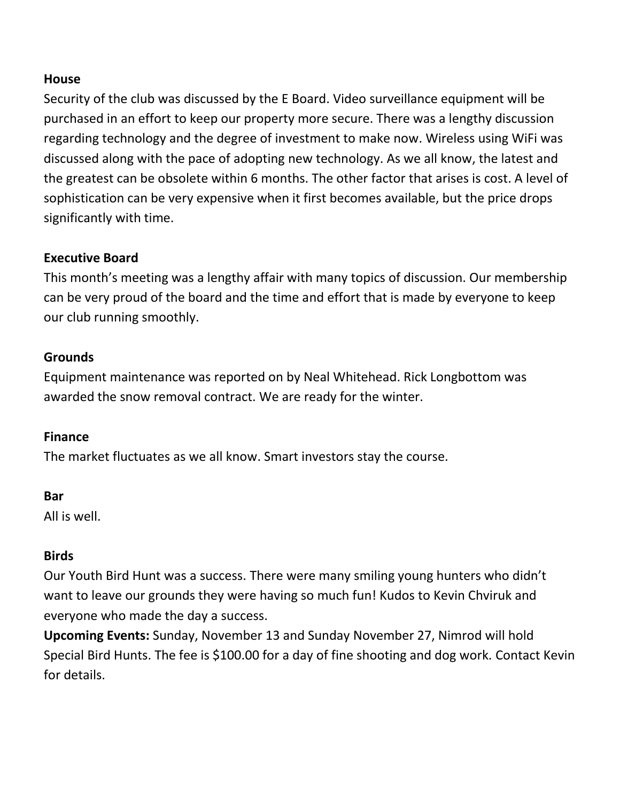#### **House**

Security of the club was discussed by the E Board. Video surveillance equipment will be purchased in an effort to keep our property more secure. There was a lengthy discussion regarding technology and the degree of investment to make now. Wireless using WiFi was discussed along with the pace of adopting new technology. As we all know, the latest and the greatest can be obsolete within 6 months. The other factor that arises is cost. A level of sophistication can be very expensive when it first becomes available, but the price drops significantly with time.

# **Executive Board**

This month's meeting was a lengthy affair with many topics of discussion. Our membership can be very proud of the board and the time and effort that is made by everyone to keep our club running smoothly.

### **Grounds**

Equipment maintenance was reported on by Neal Whitehead. Rick Longbottom was awarded the snow removal contract. We are ready for the winter.

### **Finance**

The market fluctuates as we all know. Smart investors stay the course.

### **Bar**

All is well.

### **Birds**

Our Youth Bird Hunt was a success. There were many smiling young hunters who didn't want to leave our grounds they were having so much fun! Kudos to Kevin Chviruk and everyone who made the day a success.

**Upcoming Events:** Sunday, November 13 and Sunday November 27, Nimrod will hold Special Bird Hunts. The fee is \$100.00 for a day of fine shooting and dog work. Contact Kevin for details.